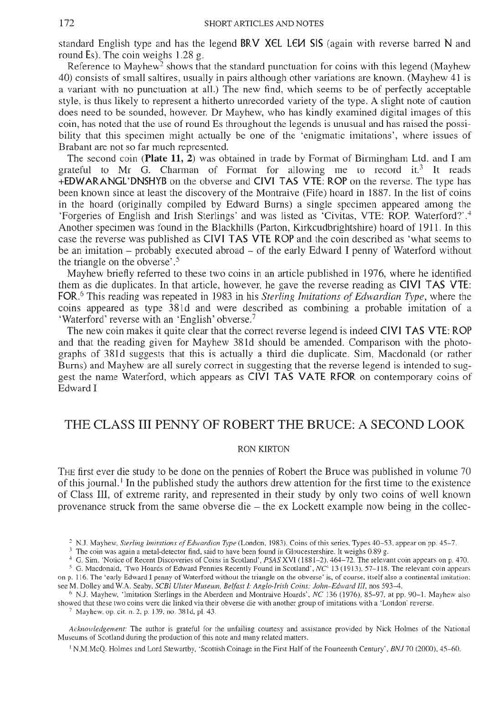standard English type and has the legend **BRV X€L L€H SIS** (again with reverse barred **N** and

Reference to Mayhew<sup>2</sup> shows that the standard punctuation for coins with this legend (Mayhew 40) consists of small saltires, usually in pairs although other variations are known. (Mayhew 41 is a variant with no punctuation at all.) The new find, which seems to be of perfectly acceptable style, is thus likely to represent a hitherto unrecorded variety of the type. A slight note of caution does need to be sounded, however. Dr Mayhew, who has kindly examined digital images of this coin, has noted that the use of round Es throughout the legends is unusual and has raised the possi-<br>bility that this specimen might actually be one of the 'enigmatic imitations', where issues of<br>Brabant are not so far muc

The second coin (Plate 11, 2) was obtained in trade by Format of Birmingham Ltd. and I am grateful to Mr G. Charman of Format for allowing me to record it.<sup>3</sup> It reads **+EDWAR ANGL' DNSHYB** on the obverse and **CIVI TAS VTE: ROP** on the reverse. The type has been known since at least the discovery of the Montraive (Fife) hoard in 1887. In the list of coins in the hoard (originally compiled by Edward Burns) a single specimen appeared among the 'Forgeries of English and Irish Sterlings' and was listed as 'Civitas, VTE: ROP. Waterford?'.4 Another specimen was found in the Blackhills (Parton, Kirkcudbrightshire) hoard of 1911. In this case the reverse was published as **CIVI TAS VTE ROP** and the coin described as 'what seems to be an imitation - probably executed abroad - of the early Edward I penny of Waterford without the triangle on the obverse'.5

Mayhew briefly referred to these two coins in an article published in 1976, where he identified them as die duplicates. In that article, however, he gave the reverse reading as **CIVI TAS VTE: FOR.6** This reading was repeated in 1983 in his *Sterling Imitations of Edwardian Type,* where the coins appeared as type 38Id and were described as combining a probable imitation of a 'Waterford' reverse with an 'English' obverse.7

The new coin makes it quite clear that the correct reverse legend is indeed **CIVI TAS VTE: ROP**  and that the reading given for Mayhew 381d should be amended. Comparison with the photo-<br>graphs of 381d suggests that this is actually a third die duplicate. Sim, Macdonald (or rather<br>Burns) and Mayhew are all surely corre gest the name Waterford, which appears as CIVI TAS VATE RFOR on contemporary coins of Edward I

## THE CLASS III PENNY OF ROBERT THE BRUCE: A SECOND LOOK

## RON KIRTON

THE first ever die study to be done on the pennies of Robert the Bruce was published in volume 70 of this journal.<sup>1</sup> In the published study the authors drew attention for the first time to the existence of Class III, of extreme rarity, and represented in their study by only two coins of well known provenance struck from the same obverse die - the ex Lockett example now being in the collec-

<sup>1</sup> N.M.McQ. Holmes and Lord Stewartby, 'Scottish Coinage in the First Half of the Fourteenth Century', *BNJ* 70 (2000), 45-60.

<sup>&</sup>lt;sup>2</sup> N.J. Mayhew, *Sterling Imitations of Edwardian Type* (London, 1983). Coins of this series, Types 40–53, appear on pp. 45–7.<br><sup>3</sup> The coin was again a metal-detector find, said to have been found in Gloucestershire. It on p. 116. The 'early Edward I penny of Waterford without the triangle on the obverse' is, of course, itself also a continental imitation; see M. Dolley and W.A. Seaby, SCBI Ulster Museum, Belfast I: Anglo-Irish Coins: Joh

<sup>&</sup>lt;sup>6</sup> N.J. Mayhew, 'Imitation Sterlings in the Aberdeen and Montraive Hoards', *NC* 136 (1976), 85–97, at pp. 90–1. Mayhew also showed that these two coins were die linked via their obverse die with another group of imitati

*Acknowledgement:* The author is grateful for the unfailing courtesy and assistance provided by Nick Holmes of the National Museums of Scotland during the production of this note and many related matters.